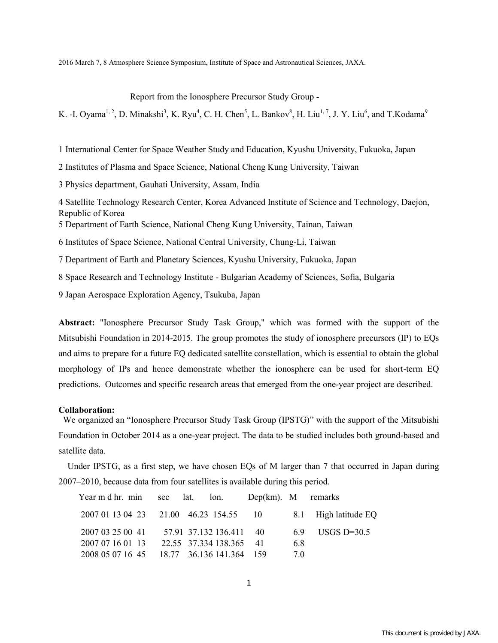2016 March 7, 8 Atmosphere Science Symposium, Institute of Space and Astronautical Sciences, JAXA.

Report from the Ionosphere Precursor Study Group -

K. -I. Oyama<sup>1, 2</sup>, D. Minakshi<sup>3</sup>, K. Ryu<sup>4</sup>, C. H. Chen<sup>5</sup>, L. Bankov<sup>8</sup>, H. Liu<sup>1, 7</sup>, J. Y. Liu<sup>6</sup>, and T.Kodama<sup>9</sup>

1 International Center for Space Weather Study and Education, Kyushu University, Fukuoka, Japan

2 Institutes of Plasma and Space Science, National Cheng Kung University, Taiwan

3 Physics department, Gauhati University, Assam, India

4 Satellite Technology Research Center, Korea Advanced Institute of Science and Technology, Daejon, Republic of Korea

5 Department of Earth Science, National Cheng Kung University, Tainan, Taiwan

6 Institutes of Space Science, National Central University, Chung-Li, Taiwan

7 [Department of Earth and Planetary Sciences,](http://hyoka.ofc.kyushu-u.ac.jp/search/organization/03070300/english.html) Kyushu University, Fukuoka, Japan

8 Space Research and Technology Institute - Bulgarian Academy of Sciences, Sofia, Bulgaria

9 Japan Aerospace Exploration Agency, Tsukuba, Japan

**Abstract:** "Ionosphere Precursor Study Task Group," which was formed with the support of the Mitsubishi Foundation in 2014-2015. The group promotes the study of ionosphere precursors (IP) to EQs and aims to prepare for a future EQ dedicated satellite constellation, which is essential to obtain the global morphology of IPs and hence demonstrate whether the ionosphere can be used for short-term EQ predictions. Outcomes and specific research areas that emerged from the one-year project are described.

## **Collaboration:**

We organized an "Ionosphere Precursor Study Task Group (IPSTG)" with the support of the Mitsubishi Foundation in October 2014 as a one-year project. The data to be studied includes both ground-based and satellite data.

Under IPSTG, as a first step, we have chosen EQs of M larger than 7 that occurred in Japan during 2007–2010, because data from four satellites is available during this period.

| Year m d hr. min sec lat. lon. Dep(km). M remarks |                         |    |                      |
|---------------------------------------------------|-------------------------|----|----------------------|
| 2007 01 13 04 23 21.00 46.23 154.55 10            |                         |    | 8.1 High latitude EQ |
| 2007 03 25 00 41 57.91 37.132 136.411 40          |                         |    | 6.9 USGS D=30.5      |
| 2007 07 16 01 13                                  | 22.55 37.334 138.365 41 | 68 |                      |
| 2008 05 07 16 45 18.77 36.136 141.364 159         |                         | 70 |                      |